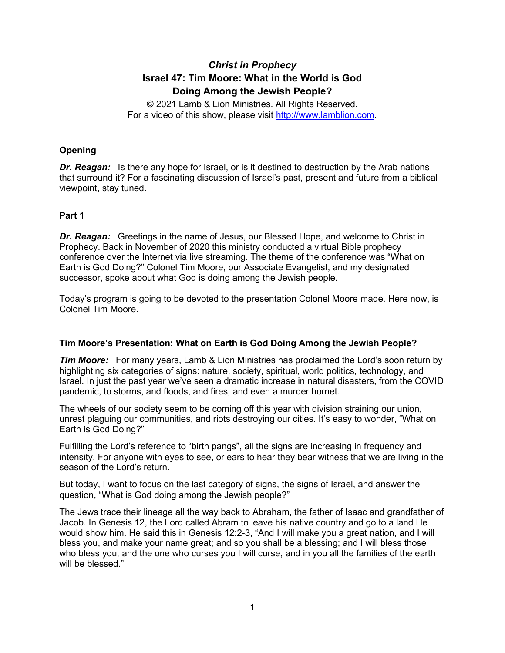# *Christ in Prophecy* **Israel 47: Tim Moore: What in the World is God Doing Among the Jewish People?**

© 2021 Lamb & Lion Ministries. All Rights Reserved. For a video of this show, please visit [http://www.lamblion.com.](http://www.lamblion.com/)

# **Opening**

*Dr. Reagan:* Is there any hope for Israel, or is it destined to destruction by the Arab nations that surround it? For a fascinating discussion of Israel's past, present and future from a biblical viewpoint, stay tuned.

# **Part 1**

*Dr. Reagan:* Greetings in the name of Jesus, our Blessed Hope, and welcome to Christ in Prophecy. Back in November of 2020 this ministry conducted a virtual Bible prophecy conference over the Internet via live streaming. The theme of the conference was "What on Earth is God Doing?" Colonel Tim Moore, our Associate Evangelist, and my designated successor, spoke about what God is doing among the Jewish people.

Today's program is going to be devoted to the presentation Colonel Moore made. Here now, is Colonel Tim Moore.

# **Tim Moore's Presentation: What on Earth is God Doing Among the Jewish People?**

*Tim Moore:* For many years, Lamb & Lion Ministries has proclaimed the Lord's soon return by highlighting six categories of signs: nature, society, spiritual, world politics, technology, and Israel. In just the past year we've seen a dramatic increase in natural disasters, from the COVID pandemic, to storms, and floods, and fires, and even a murder hornet.

The wheels of our society seem to be coming off this year with division straining our union, unrest plaguing our communities, and riots destroying our cities. It's easy to wonder, "What on Earth is God Doing?"

Fulfilling the Lord's reference to "birth pangs", all the signs are increasing in frequency and intensity. For anyone with eyes to see, or ears to hear they bear witness that we are living in the season of the Lord's return.

But today, I want to focus on the last category of signs, the signs of Israel, and answer the question, "What is God doing among the Jewish people?"

The Jews trace their lineage all the way back to Abraham, the father of Isaac and grandfather of Jacob. In Genesis 12, the Lord called Abram to leave his native country and go to a land He would show him. He said this in Genesis 12:2-3, "And I will make you a great nation, and I will bless you, and make your name great; and so you shall be a blessing; and I will bless those who bless you, and the one who curses you I will curse, and in you all the families of the earth will be blessed."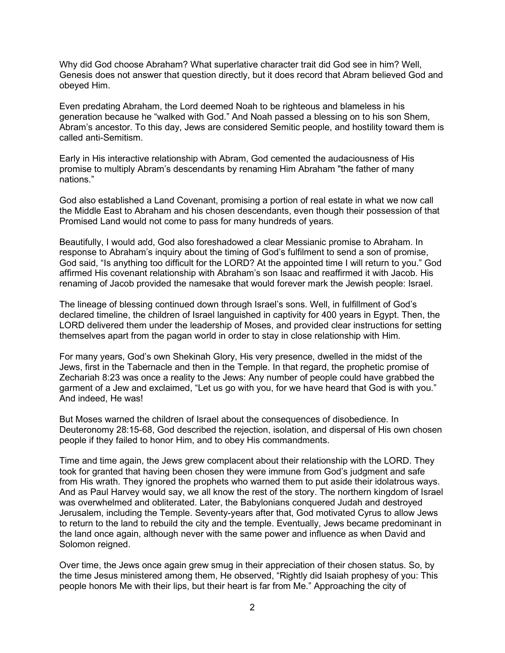Why did God choose Abraham? What superlative character trait did God see in him? Well, Genesis does not answer that question directly, but it does record that Abram believed God and obeyed Him.

Even predating Abraham, the Lord deemed Noah to be righteous and blameless in his generation because he "walked with God." And Noah passed a blessing on to his son Shem, Abram's ancestor. To this day, Jews are considered Semitic people, and hostility toward them is called anti-Semitism.

Early in His interactive relationship with Abram, God cemented the audaciousness of His promise to multiply Abram's descendants by renaming Him Abraham "the father of many nations."

God also established a Land Covenant, promising a portion of real estate in what we now call the Middle East to Abraham and his chosen descendants, even though their possession of that Promised Land would not come to pass for many hundreds of years.

Beautifully, I would add, God also foreshadowed a clear Messianic promise to Abraham. In response to Abraham's inquiry about the timing of God's fulfilment to send a son of promise, God said, "Is anything too difficult for the LORD? At the appointed time I will return to you." God affirmed His covenant relationship with Abraham's son Isaac and reaffirmed it with Jacob. His renaming of Jacob provided the namesake that would forever mark the Jewish people: Israel.

The lineage of blessing continued down through Israel's sons. Well, in fulfillment of God's declared timeline, the children of Israel languished in captivity for 400 years in Egypt. Then, the LORD delivered them under the leadership of Moses, and provided clear instructions for setting themselves apart from the pagan world in order to stay in close relationship with Him.

For many years, God's own Shekinah Glory, His very presence, dwelled in the midst of the Jews, first in the Tabernacle and then in the Temple. In that regard, the prophetic promise of Zechariah 8:23 was once a reality to the Jews: Any number of people could have grabbed the garment of a Jew and exclaimed, "Let us go with you, for we have heard that God is with you." And indeed, He was!

But Moses warned the children of Israel about the consequences of disobedience. In Deuteronomy 28:15-68, God described the rejection, isolation, and dispersal of His own chosen people if they failed to honor Him, and to obey His commandments.

Time and time again, the Jews grew complacent about their relationship with the LORD. They took for granted that having been chosen they were immune from God's judgment and safe from His wrath. They ignored the prophets who warned them to put aside their idolatrous ways. And as Paul Harvey would say, we all know the rest of the story. The northern kingdom of Israel was overwhelmed and obliterated. Later, the Babylonians conquered Judah and destroyed Jerusalem, including the Temple. Seventy-years after that, God motivated Cyrus to allow Jews to return to the land to rebuild the city and the temple. Eventually, Jews became predominant in the land once again, although never with the same power and influence as when David and Solomon reigned.

Over time, the Jews once again grew smug in their appreciation of their chosen status. So, by the time Jesus ministered among them, He observed, "Rightly did Isaiah prophesy of you: This people honors Me with their lips, but their heart is far from Me." Approaching the city of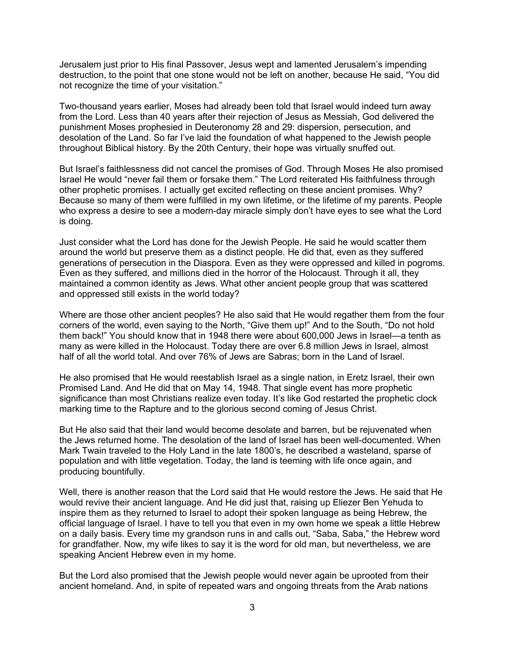Jerusalem just prior to His final Passover, Jesus wept and lamented Jerusalem's impending destruction, to the point that one stone would not be left on another, because He said, "You did not recognize the time of your visitation."

Two-thousand years earlier, Moses had already been told that Israel would indeed turn away from the Lord. Less than 40 years after their rejection of Jesus as Messiah, God delivered the punishment Moses prophesied in Deuteronomy 28 and 29: dispersion, persecution, and desolation of the Land. So far I've laid the foundation of what happened to the Jewish people throughout Biblical history. By the 20th Century, their hope was virtually snuffed out.

But Israel's faithlessness did not cancel the promises of God. Through Moses He also promised Israel He would "never fail them or forsake them." The Lord reiterated His faithfulness through other prophetic promises. I actually get excited reflecting on these ancient promises. Why? Because so many of them were fulfilled in my own lifetime, or the lifetime of my parents. People who express a desire to see a modern-day miracle simply don't have eyes to see what the Lord is doing.

Just consider what the Lord has done for the Jewish People. He said he would scatter them around the world but preserve them as a distinct people. He did that, even as they suffered generations of persecution in the Diaspora. Even as they were oppressed and killed in pogroms. Even as they suffered, and millions died in the horror of the Holocaust. Through it all, they maintained a common identity as Jews. What other ancient people group that was scattered and oppressed still exists in the world today?

Where are those other ancient peoples? He also said that He would regather them from the four corners of the world, even saying to the North, "Give them up!" And to the South, "Do not hold them back!" You should know that in 1948 there were about 600,000 Jews in Israel—a tenth as many as were killed in the Holocaust. Today there are over 6.8 million Jews in Israel, almost half of all the world total. And over 76% of Jews are Sabras; born in the Land of Israel.

He also promised that He would reestablish Israel as a single nation, in Eretz Israel, their own Promised Land. And He did that on May 14, 1948. That single event has more prophetic significance than most Christians realize even today. It's like God restarted the prophetic clock marking time to the Rapture and to the glorious second coming of Jesus Christ.

But He also said that their land would become desolate and barren, but be rejuvenated when the Jews returned home. The desolation of the land of Israel has been well-documented. When Mark Twain traveled to the Holy Land in the late 1800's, he described a wasteland, sparse of population and with little vegetation. Today, the land is teeming with life once again, and producing bountifully.

Well, there is another reason that the Lord said that He would restore the Jews. He said that He would revive their ancient language. And He did just that, raising up Eliezer Ben Yehuda to inspire them as they returned to Israel to adopt their spoken language as being Hebrew, the official language of Israel. I have to tell you that even in my own home we speak a little Hebrew on a daily basis. Every time my grandson runs in and calls out, "Saba, Saba," the Hebrew word for grandfather. Now, my wife likes to say it is the word for old man, but nevertheless, we are speaking Ancient Hebrew even in my home.

But the Lord also promised that the Jewish people would never again be uprooted from their ancient homeland. And, in spite of repeated wars and ongoing threats from the Arab nations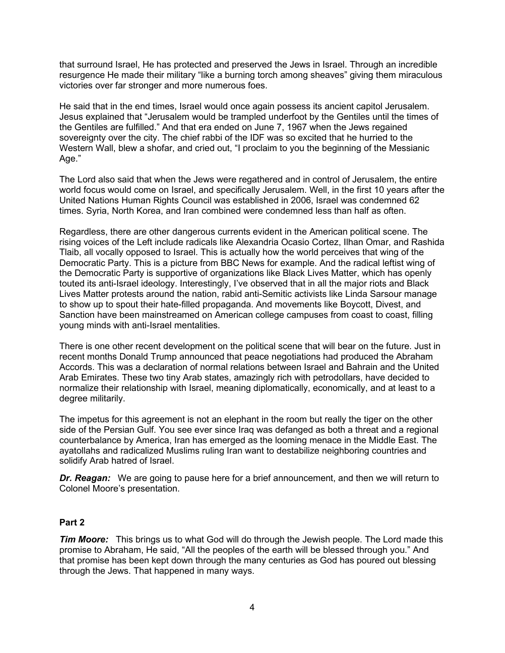that surround Israel, He has protected and preserved the Jews in Israel. Through an incredible resurgence He made their military "like a burning torch among sheaves" giving them miraculous victories over far stronger and more numerous foes.

He said that in the end times, Israel would once again possess its ancient capitol Jerusalem. Jesus explained that "Jerusalem would be trampled underfoot by the Gentiles until the times of the Gentiles are fulfilled." And that era ended on June 7, 1967 when the Jews regained sovereignty over the city. The chief rabbi of the IDF was so excited that he hurried to the Western Wall, blew a shofar, and cried out, "I proclaim to you the beginning of the Messianic Age."

The Lord also said that when the Jews were regathered and in control of Jerusalem, the entire world focus would come on Israel, and specifically Jerusalem. Well, in the first 10 years after the United Nations Human Rights Council was established in 2006, Israel was condemned 62 times. Syria, North Korea, and Iran combined were condemned less than half as often.

Regardless, there are other dangerous currents evident in the American political scene. The rising voices of the Left include radicals like Alexandria Ocasio Cortez, Ilhan Omar, and Rashida Tlaib, all vocally opposed to Israel. This is actually how the world perceives that wing of the Democratic Party. This is a picture from BBC News for example. And the radical leftist wing of the Democratic Party is supportive of organizations like Black Lives Matter, which has openly touted its anti-Israel ideology. Interestingly, I've observed that in all the major riots and Black Lives Matter protests around the nation, rabid anti-Semitic activists like Linda Sarsour manage to show up to spout their hate-filled propaganda. And movements like Boycott, Divest, and Sanction have been mainstreamed on American college campuses from coast to coast, filling young minds with anti-Israel mentalities.

There is one other recent development on the political scene that will bear on the future. Just in recent months Donald Trump announced that peace negotiations had produced the Abraham Accords. This was a declaration of normal relations between Israel and Bahrain and the United Arab Emirates. These two tiny Arab states, amazingly rich with petrodollars, have decided to normalize their relationship with Israel, meaning diplomatically, economically, and at least to a degree militarily.

The impetus for this agreement is not an elephant in the room but really the tiger on the other side of the Persian Gulf. You see ever since Iraq was defanged as both a threat and a regional counterbalance by America, Iran has emerged as the looming menace in the Middle East. The ayatollahs and radicalized Muslims ruling Iran want to destabilize neighboring countries and solidify Arab hatred of Israel.

*Dr. Reagan:* We are going to pause here for a brief announcement, and then we will return to Colonel Moore's presentation.

# **Part 2**

*Tim Moore:* This brings us to what God will do through the Jewish people. The Lord made this promise to Abraham, He said, "All the peoples of the earth will be blessed through you." And that promise has been kept down through the many centuries as God has poured out blessing through the Jews. That happened in many ways.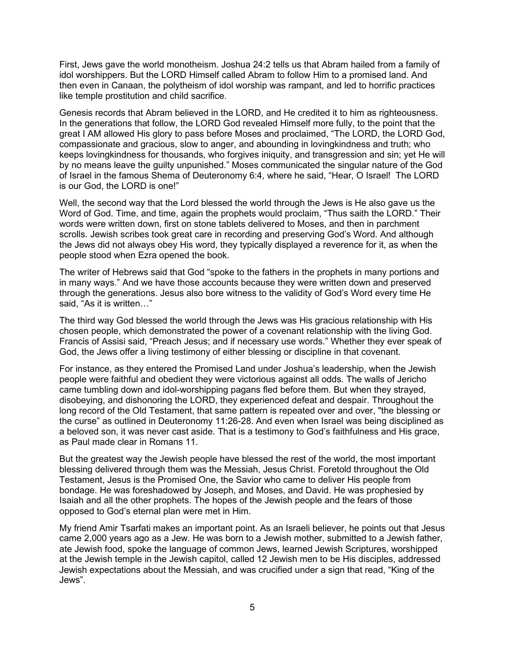First, Jews gave the world monotheism. Joshua 24:2 tells us that Abram hailed from a family of idol worshippers. But the LORD Himself called Abram to follow Him to a promised land. And then even in Canaan, the polytheism of idol worship was rampant, and led to horrific practices like temple prostitution and child sacrifice.

Genesis records that Abram believed in the LORD, and He credited it to him as righteousness. In the generations that follow, the LORD God revealed Himself more fully, to the point that the great I AM allowed His glory to pass before Moses and proclaimed, "The LORD, the LORD God, compassionate and gracious, slow to anger, and abounding in lovingkindness and truth; who keeps lovingkindness for thousands, who forgives iniquity, and transgression and sin; yet He will by no means leave the guilty unpunished." Moses communicated the singular nature of the God of Israel in the famous Shema of Deuteronomy 6:4, where he said, "Hear, O Israel! The LORD is our God, the LORD is one!"

Well, the second way that the Lord blessed the world through the Jews is He also gave us the Word of God. Time, and time, again the prophets would proclaim, "Thus saith the LORD." Their words were written down, first on stone tablets delivered to Moses, and then in parchment scrolls. Jewish scribes took great care in recording and preserving God's Word. And although the Jews did not always obey His word, they typically displayed a reverence for it, as when the people stood when Ezra opened the book.

The writer of Hebrews said that God "spoke to the fathers in the prophets in many portions and in many ways." And we have those accounts because they were written down and preserved through the generations. Jesus also bore witness to the validity of God's Word every time He said, "As it is written…"

The third way God blessed the world through the Jews was His gracious relationship with His chosen people, which demonstrated the power of a covenant relationship with the living God. Francis of Assisi said, "Preach Jesus; and if necessary use words." Whether they ever speak of God, the Jews offer a living testimony of either blessing or discipline in that covenant.

For instance, as they entered the Promised Land under Joshua's leadership, when the Jewish people were faithful and obedient they were victorious against all odds. The walls of Jericho came tumbling down and idol-worshipping pagans fled before them. But when they strayed, disobeying, and dishonoring the LORD, they experienced defeat and despair. Throughout the long record of the Old Testament, that same pattern is repeated over and over, "the blessing or the curse" as outlined in Deuteronomy 11:26-28. And even when Israel was being disciplined as a beloved son, it was never cast aside. That is a testimony to God's faithfulness and His grace, as Paul made clear in Romans 11.

But the greatest way the Jewish people have blessed the rest of the world, the most important blessing delivered through them was the Messiah, Jesus Christ. Foretold throughout the Old Testament, Jesus is the Promised One, the Savior who came to deliver His people from bondage. He was foreshadowed by Joseph, and Moses, and David. He was prophesied by Isaiah and all the other prophets. The hopes of the Jewish people and the fears of those opposed to God's eternal plan were met in Him.

My friend Amir Tsarfati makes an important point. As an Israeli believer, he points out that Jesus came 2,000 years ago as a Jew. He was born to a Jewish mother, submitted to a Jewish father, ate Jewish food, spoke the language of common Jews, learned Jewish Scriptures, worshipped at the Jewish temple in the Jewish capitol, called 12 Jewish men to be His disciples, addressed Jewish expectations about the Messiah, and was crucified under a sign that read, "King of the Jews".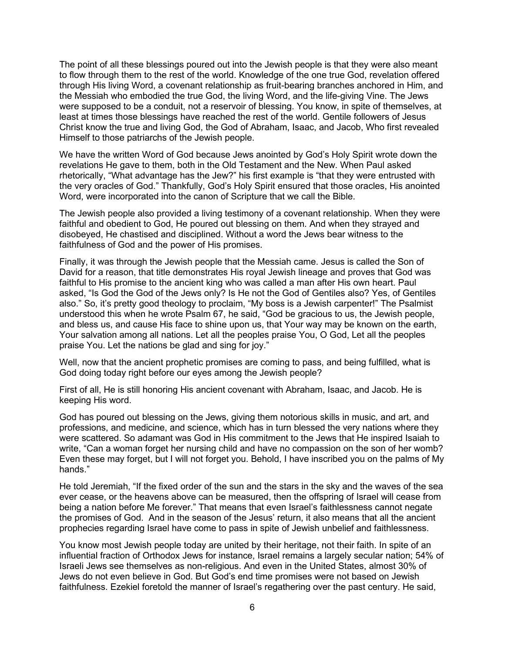The point of all these blessings poured out into the Jewish people is that they were also meant to flow through them to the rest of the world. Knowledge of the one true God, revelation offered through His living Word, a covenant relationship as fruit-bearing branches anchored in Him, and the Messiah who embodied the true God, the living Word, and the life-giving Vine. The Jews were supposed to be a conduit, not a reservoir of blessing. You know, in spite of themselves, at least at times those blessings have reached the rest of the world. Gentile followers of Jesus Christ know the true and living God, the God of Abraham, Isaac, and Jacob, Who first revealed Himself to those patriarchs of the Jewish people.

We have the written Word of God because Jews anointed by God's Holy Spirit wrote down the revelations He gave to them, both in the Old Testament and the New. When Paul asked rhetorically, "What advantage has the Jew?" his first example is "that they were entrusted with the very oracles of God." Thankfully, God's Holy Spirit ensured that those oracles, His anointed Word, were incorporated into the canon of Scripture that we call the Bible.

The Jewish people also provided a living testimony of a covenant relationship. When they were faithful and obedient to God, He poured out blessing on them. And when they strayed and disobeyed, He chastised and disciplined. Without a word the Jews bear witness to the faithfulness of God and the power of His promises.

Finally, it was through the Jewish people that the Messiah came. Jesus is called the Son of David for a reason, that title demonstrates His royal Jewish lineage and proves that God was faithful to His promise to the ancient king who was called a man after His own heart. Paul asked, "Is God the God of the Jews only? Is He not the God of Gentiles also? Yes, of Gentiles also." So, it's pretty good theology to proclaim, "My boss is a Jewish carpenter!" The Psalmist understood this when he wrote Psalm 67, he said, "God be gracious to us, the Jewish people, and bless us, and cause His face to shine upon us, that Your way may be known on the earth, Your salvation among all nations. Let all the peoples praise You, O God, Let all the peoples praise You. Let the nations be glad and sing for joy."

Well, now that the ancient prophetic promises are coming to pass, and being fulfilled, what is God doing today right before our eyes among the Jewish people?

First of all, He is still honoring His ancient covenant with Abraham, Isaac, and Jacob. He is keeping His word.

God has poured out blessing on the Jews, giving them notorious skills in music, and art, and professions, and medicine, and science, which has in turn blessed the very nations where they were scattered. So adamant was God in His commitment to the Jews that He inspired Isaiah to write, "Can a woman forget her nursing child and have no compassion on the son of her womb? Even these may forget, but I will not forget you. Behold, I have inscribed you on the palms of My hands."

He told Jeremiah, "If the fixed order of the sun and the stars in the sky and the waves of the sea ever cease, or the heavens above can be measured, then the offspring of Israel will cease from being a nation before Me forever." That means that even Israel's faithlessness cannot negate the promises of God. And in the season of the Jesus' return, it also means that all the ancient prophecies regarding Israel have come to pass in spite of Jewish unbelief and faithlessness.

You know most Jewish people today are united by their heritage, not their faith. In spite of an influential fraction of Orthodox Jews for instance, Israel remains a largely secular nation; 54% of Israeli Jews see themselves as non-religious. And even in the United States, almost 30% of Jews do not even believe in God. But God's end time promises were not based on Jewish faithfulness. Ezekiel foretold the manner of Israel's regathering over the past century. He said,